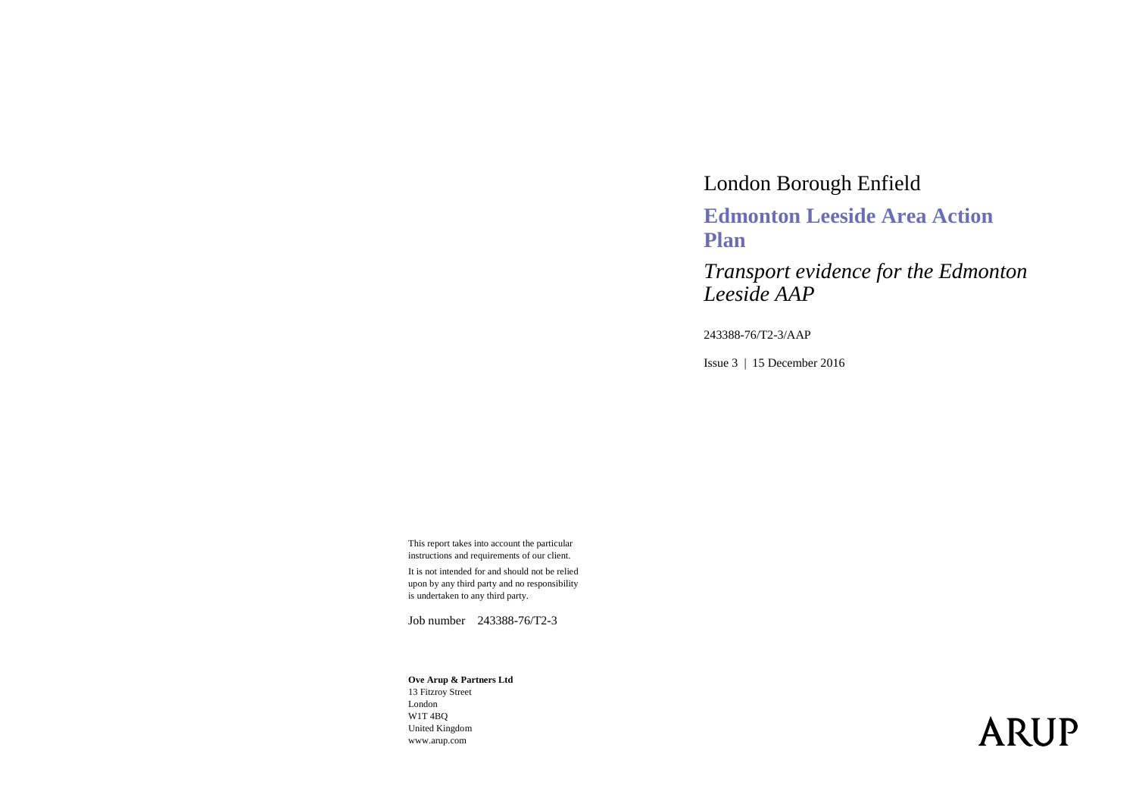## London Borough Enfield **Edmonton Leeside Area Action Plan**

*Transport evidence for the Edmonton Leeside AAP*

243388-76/T2-3/AAP

Issue 3 | 15 December 2016

This report takes into account the particular instructions and requirements of our client.

It is not intended for and should not be relied upon by any third party and no responsibility is undertaken to any third party.

Job number 243388-76/T2-3

#### **Ove Arup & Partners Ltd**

13 Fitzroy Street London W1T 4BQ United Kingdom www.arup.com

# **ARUP**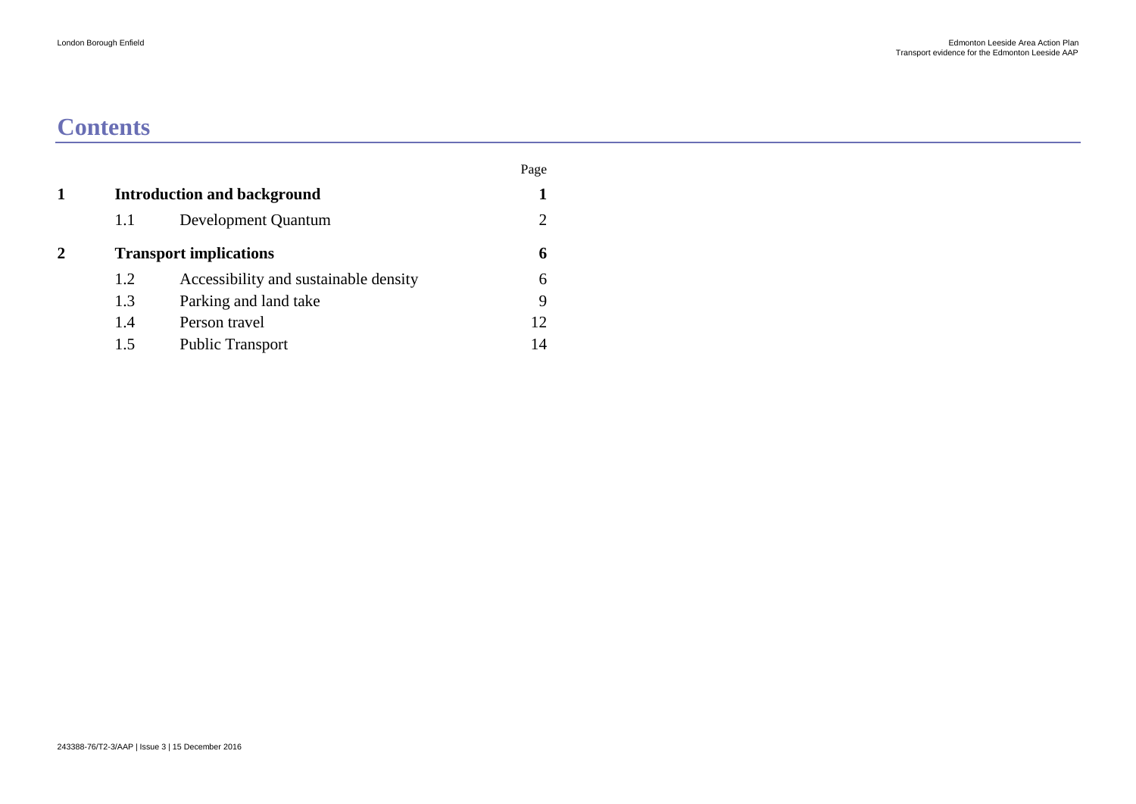## **Contents**

|             |     |                                       | Page |
|-------------|-----|---------------------------------------|------|
| 1           |     | <b>Introduction and background</b>    |      |
|             | 1.1 | Development Quantum                   |      |
| $\mathbf 2$ |     | <b>Transport implications</b>         | 6    |
|             | 1.2 | Accessibility and sustainable density | 6    |
|             | 1.3 | Parking and land take                 | 9    |
|             | 1.4 | Person travel                         | 12   |
|             | 1.5 | <b>Public Transport</b>               | 14   |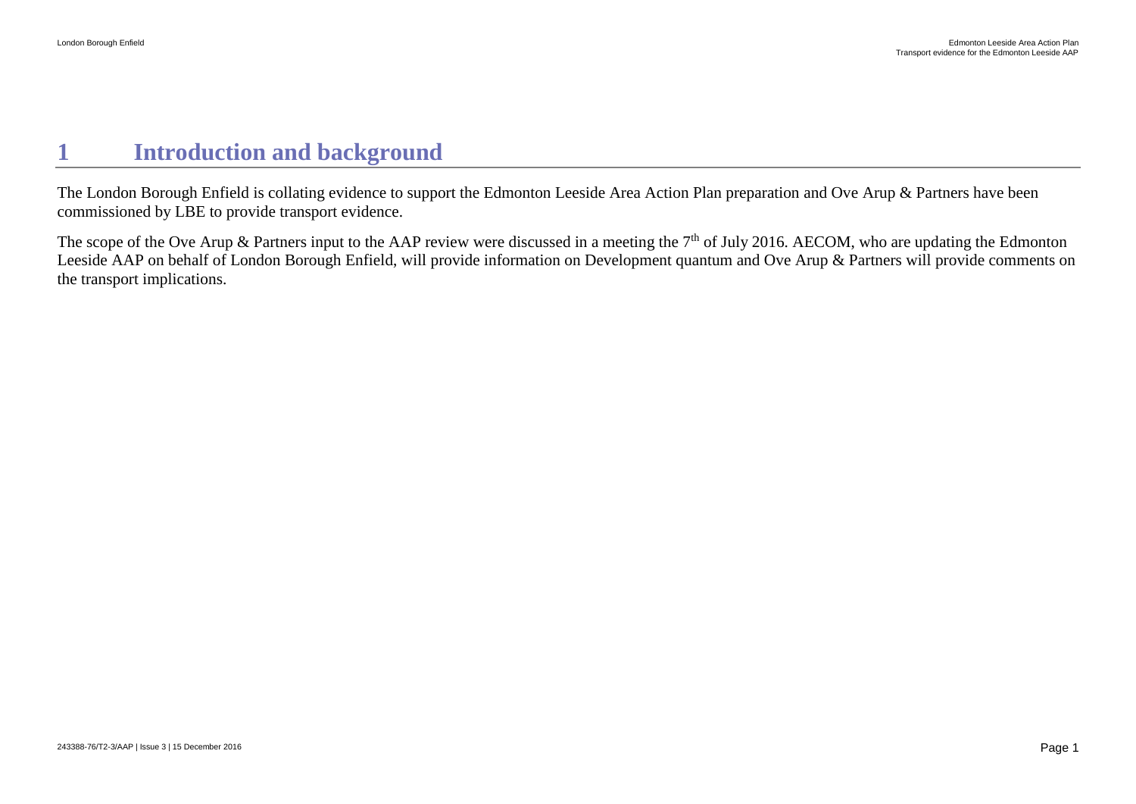## <span id="page-2-0"></span>**1 Introduction and background**

The London Borough Enfield is collating evidence to support the Edmonton Leeside Area Action Plan preparation and Ove Arup & Partners have been commissioned by LBE to provide transport evidence.

The scope of the Ove Arup & Partners input to the AAP review were discussed in a meeting the 7<sup>th</sup> of July 2016. AECOM, who are updating the Edmonton Leeside AAP on behalf of London Borough Enfield, will provide information on Development quantum and Ove Arup & Partners will provide comments on the transport implications.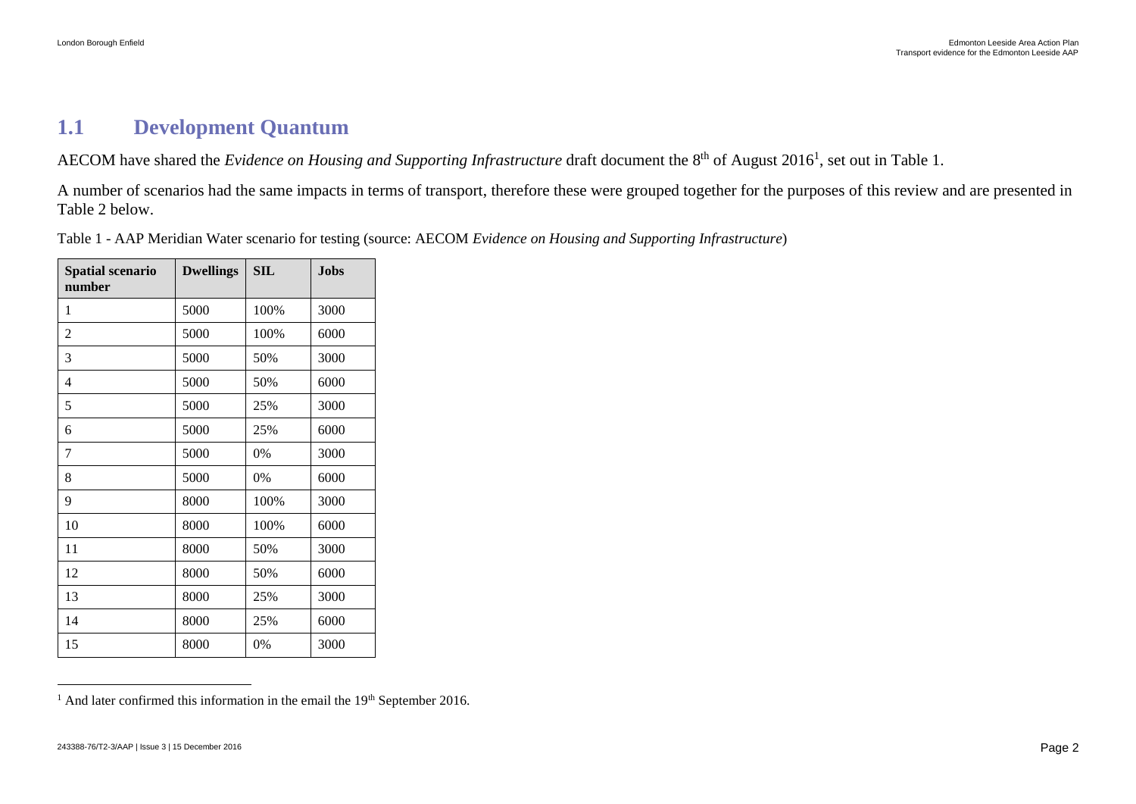### <span id="page-3-0"></span>**1.1 Development Quantum**

AECOM have shared the *Evidence on Housing and Supporting Infrastructure* draft document the 8<sup>th</sup> of August 2016<sup>1</sup>, set out in [Table 1.](#page-3-1)

A number of scenarios had the same impacts in terms of transport, therefore these were grouped together for the purposes of this review and are presented in [Table 2](#page-5-0) below.

| <b>Spatial scenario</b><br>number | <b>Dwellings</b> | <b>SIL</b> | Jobs |
|-----------------------------------|------------------|------------|------|
| 1                                 | 5000             | 100%       | 3000 |
| 2                                 | 5000             | 100%       | 6000 |
| 3                                 | 5000             | 50%        | 3000 |
| 4                                 | 5000             | 50%        | 6000 |
| 5                                 | 5000             | 25%        | 3000 |
| 6                                 | 5000             | 25%        | 6000 |
| 7                                 | 5000             | 0%         | 3000 |
| 8                                 | 5000             | 0%         | 6000 |
| 9                                 | 8000             | 100%       | 3000 |
| 10                                | 8000             | 100%       | 6000 |
| 11                                | 8000             | 50%        | 3000 |
| 12                                | 8000             | 50%        | 6000 |
| 13                                | 8000             | 25%        | 3000 |
| 14                                | 8000             | 25%        | 6000 |
| 15                                | 8000             | 0%         | 3000 |

<span id="page-3-1"></span>Table 1 - AAP Meridian Water scenario for testing (source: AECOM *Evidence on Housing and Supporting Infrastructure*)

 $\overline{a}$ 

 $1$  And later confirmed this information in the email the 19<sup>th</sup> September 2016.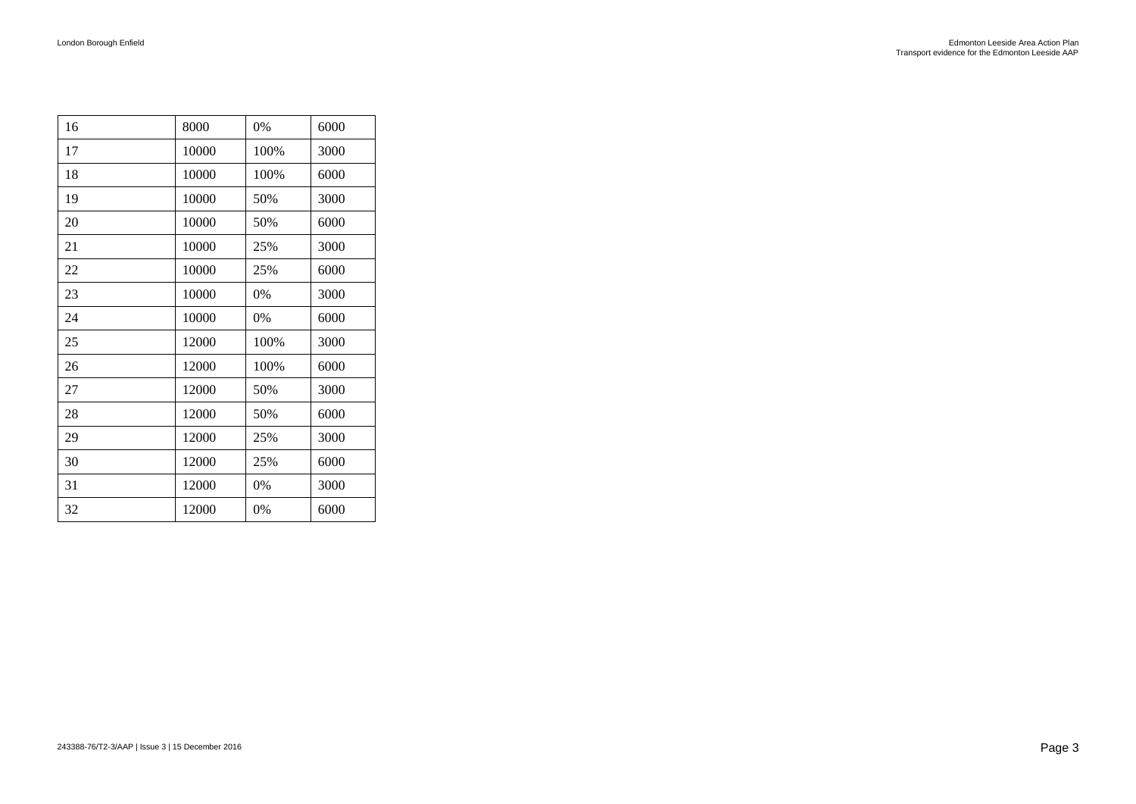| 16 | 8000  | 0%   | 6000 |
|----|-------|------|------|
| 17 | 10000 | 100% | 3000 |
| 18 | 10000 | 100% | 6000 |
| 19 | 10000 | 50%  | 3000 |
| 20 | 10000 | 50%  | 6000 |
| 21 | 10000 | 25%  | 3000 |
| 22 | 10000 | 25%  | 6000 |
| 23 | 10000 | 0%   | 3000 |
| 24 | 10000 | 0%   | 6000 |
| 25 | 12000 | 100% | 3000 |
| 26 | 12000 | 100% | 6000 |
| 27 | 12000 | 50%  | 3000 |
| 28 | 12000 | 50%  | 6000 |
| 29 | 12000 | 25%  | 3000 |
| 30 | 12000 | 25%  | 6000 |
| 31 | 12000 | 0%   | 3000 |
| 32 | 12000 | 0%   | 6000 |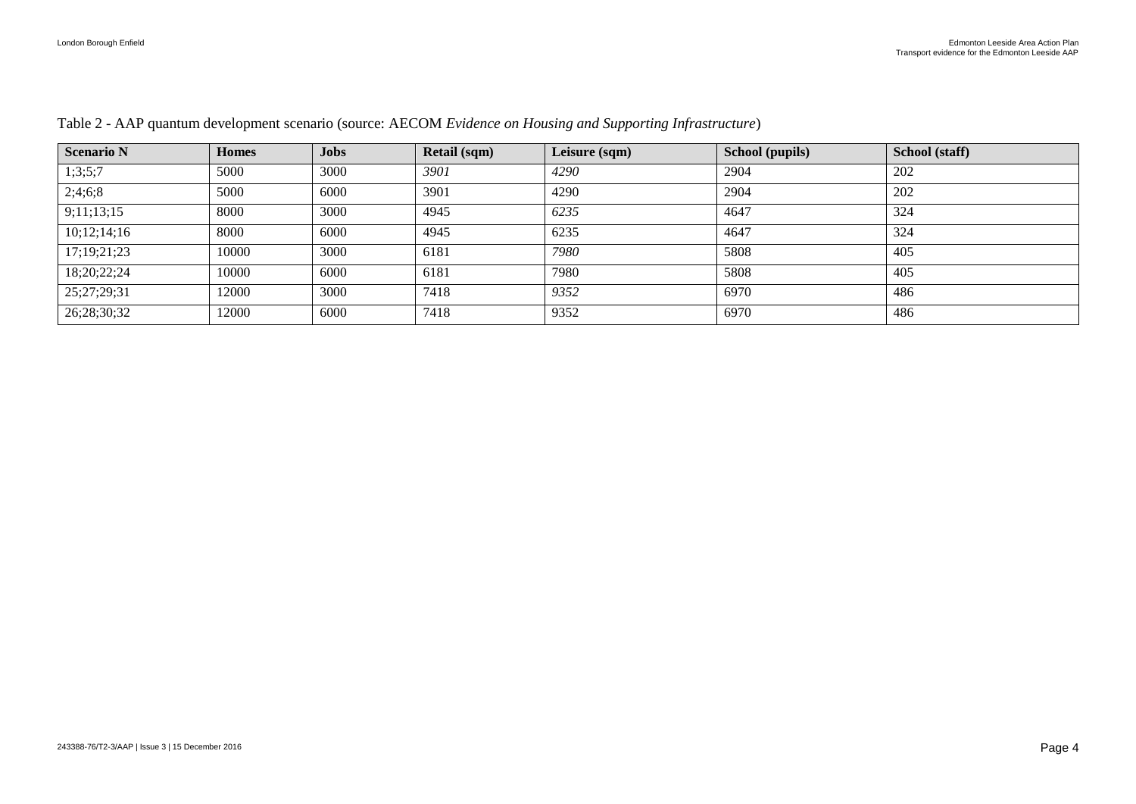| <b>Scenario N</b> | <b>Homes</b> | <b>Jobs</b> | <b>Retail (sqm)</b> | Leisure (sqm) | School (pupils) | School (staff) |
|-------------------|--------------|-------------|---------------------|---------------|-----------------|----------------|
| 1;3;5;7           | 5000         | 3000        | 3901                | 4290          | 2904            | 202            |
| 2;4;6;8           | 5000         | 6000        | 3901                | 4290          | 2904            | 202            |
| 9;11;13;15        | 8000         | 3000        | 4945                | 6235          | 4647            | 324            |
| 10;12;14;16       | 8000         | 6000        | 4945                | 6235          | 4647            | 324            |
| 17;19;21;23       | 10000        | 3000        | 6181                | 7980          | 5808            | 405            |
| 18;20;22;24       | 10000        | 6000        | 6181                | 7980          | 5808            | 405            |
| 25;27;29;31       | 12000        | 3000        | 7418                | 9352          | 6970            | 486            |
| 26;28;30;32       | 12000        | 6000        | 7418                | 9352          | 6970            | 486            |

#### <span id="page-5-0"></span>Table 2 - AAP quantum development scenario (source: AECOM *Evidence on Housing and Supporting Infrastructure*)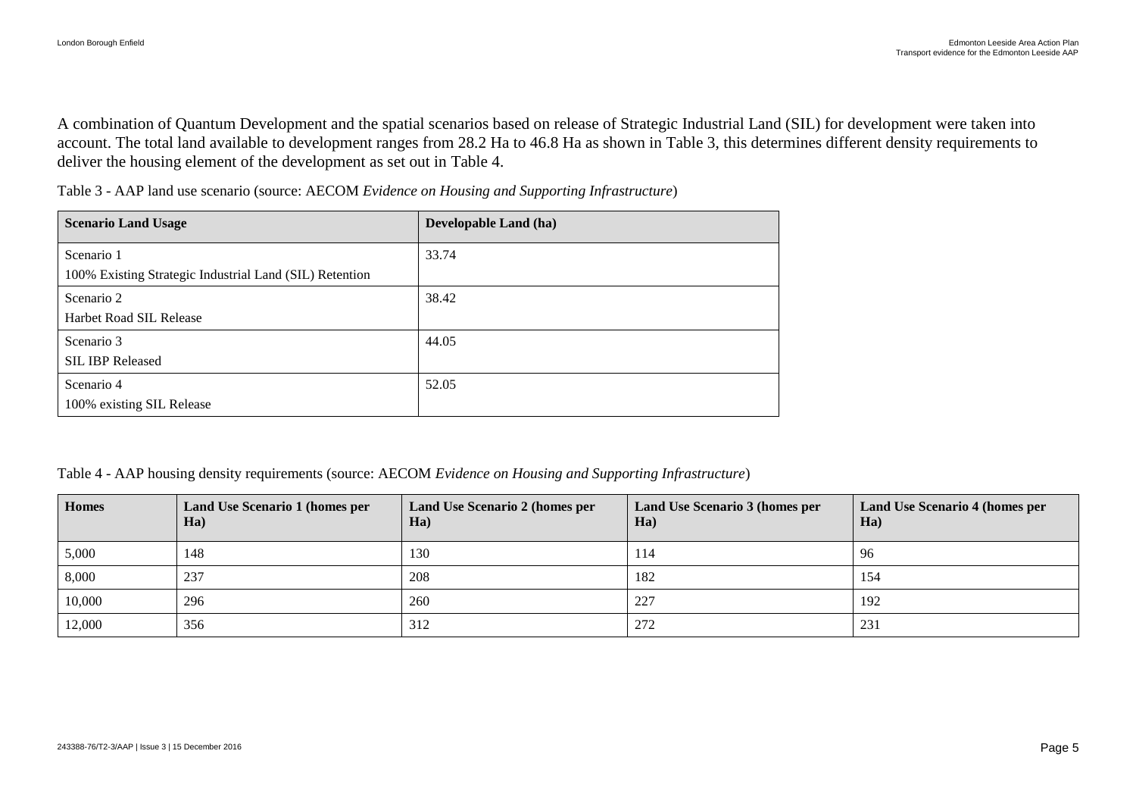A combination of Quantum Development and the spatial scenarios based on release of Strategic Industrial Land (SIL) for development were taken into account. The total land available to development ranges from 28.2 Ha to 46.8 Ha as shown in [Table 3,](#page-6-0) this determines different density requirements to deliver the housing element of the development as set out in [Table 4.](#page-6-1)

<span id="page-6-0"></span>Table 3 - AAP land use scenario (source: AECOM *Evidence on Housing and Supporting Infrastructure*)

| <b>Scenario Land Usage</b>                                            | Developable Land (ha) |
|-----------------------------------------------------------------------|-----------------------|
| Scenario 1<br>100% Existing Strategic Industrial Land (SIL) Retention | 33.74                 |
| Scenario 2<br>Harbet Road SIL Release                                 | 38.42                 |
| Scenario 3<br><b>SIL IBP Released</b>                                 | 44.05                 |
| Scenario 4<br>100% existing SIL Release                               | 52.05                 |

<span id="page-6-1"></span>Table 4 - AAP housing density requirements (source: AECOM *Evidence on Housing and Supporting Infrastructure*)

| <b>Homes</b> | Land Use Scenario 1 (homes per<br>Ha) | Land Use Scenario 2 (homes per<br>$Ha$ | Land Use Scenario 3 (homes per<br>Ha) | Land Use Scenario 4 (homes per<br>Ha) |
|--------------|---------------------------------------|----------------------------------------|---------------------------------------|---------------------------------------|
| 5,000        | 148                                   | 130                                    | 114                                   | -96                                   |
| 8,000        | 237                                   | 208                                    | 182                                   | 154                                   |
| 10,000       | 296                                   | 260                                    | 227                                   | 192                                   |
| 12,000       | 356                                   | 312                                    | 272                                   | 231                                   |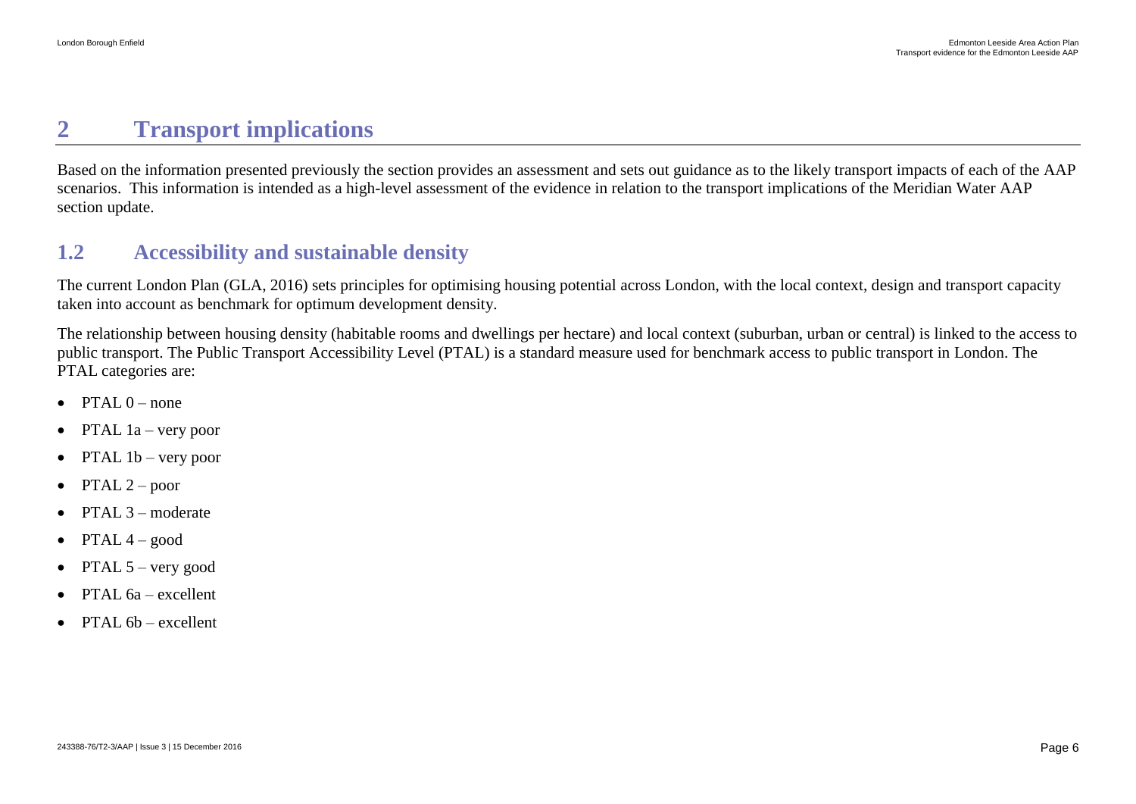## <span id="page-7-0"></span>**2 Transport implications**

Based on the information presented previously the section provides an assessment and sets out guidance as to the likely transport impacts of each of the AAP scenarios. This information is intended as a high-level assessment of the evidence in relation to the transport implications of the Meridian Water AAP section update.

## <span id="page-7-1"></span>**1.2 Accessibility and sustainable density**

The current London Plan (GLA, 2016) sets principles for optimising housing potential across London, with the local context, design and transport capacity taken into account as benchmark for optimum development density.

The relationship between housing density (habitable rooms and dwellings per hectare) and local context (suburban, urban or central) is linked to the access to public transport. The Public Transport Accessibility Level (PTAL) is a standard measure used for benchmark access to public transport in London. The PTAL categories are:

- $\bullet$  PTAL  $0$  none
- PTAL  $1a$  very poor
- $\bullet$  PTAL 1b very poor
- $\bullet$  PTAL 2 poor
- $\bullet$  PTAL 3 moderate
- $\bullet$  PTAL 4 good
- PTAL  $5$  very good
- $\bullet$  PTAL 6a excellent
- $\bullet$  PTAL 6b excellent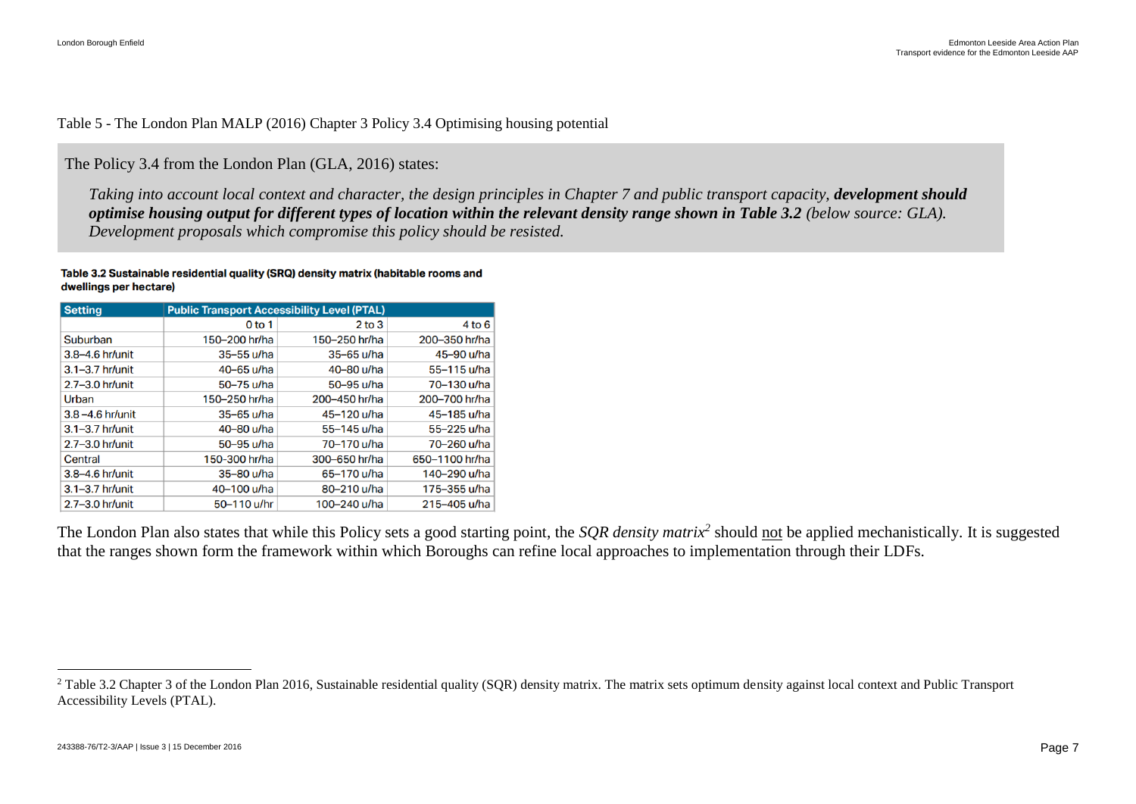#### Table 5 - The London Plan MALP (2016) Chapter 3 Policy 3.4 Optimising housing potential

The Policy 3.4 from the London Plan (GLA, 2016) states:

*Taking into account local context and character, the design principles in Chapter 7 and public transport capacity, development should optimise housing output for different types of location within the relevant density range shown in Table 3.2 (below source: GLA). Development proposals which compromise this policy should be resisted.*

#### Table 3.2 Sustainable residential quality (SRQ) density matrix (habitable rooms and dwellings per hectare)

| <b>Setting</b>      | <b>Public Transport Accessibility Level (PTAL)</b> |                |                |  |  |  |  |
|---------------------|----------------------------------------------------|----------------|----------------|--|--|--|--|
|                     | 0 <sub>to 1</sub>                                  | $2$ to $3$     | 4 to 6         |  |  |  |  |
| Suburban            | 150-200 hr/ha                                      | 150-250 hr/ha  | 200-350 hr/ha  |  |  |  |  |
| 3.8-4.6 hr/unit     | $35 - 55$ u/ha                                     | $35 - 65$ u/ha | 45-90 u/ha     |  |  |  |  |
| $3.1 - 3.7$ hr/unit | 40-65 u/ha                                         | 40-80 u/ha     | 55-115 u/ha    |  |  |  |  |
| 2.7-3.0 hr/unit     | 50-75 u/ha                                         | 50-95 u/ha     | 70–130 u/ha    |  |  |  |  |
| Urban               | 150-250 hr/ha                                      | 200-450 hr/ha  | 200-700 hr/ha  |  |  |  |  |
| $3.8 - 4.6$ hr/unit | $35-65$ u/ha                                       | 45-120 u/ha    | 45-185 u/ha    |  |  |  |  |
| $3.1 - 3.7$ hr/unit | 40-80 u/ha                                         | 55-145 u/ha    | 55-225 u/ha    |  |  |  |  |
| 2.7-3.0 hr/unit     | 50-95 u/ha                                         | 70-170 u/ha    | 70-260 u/ha    |  |  |  |  |
| Central             | 150-300 hr/ha                                      | 300-650 hr/ha  | 650-1100 hr/ha |  |  |  |  |
| 3.8-4.6 hr/unit     | 35-80 u/ha                                         | 65-170 u/ha    | 140-290 u/ha   |  |  |  |  |
| 3.1-3.7 hr/unit     | 40-100 u/ha                                        | 80-210 u/ha    | 175-355 u/ha   |  |  |  |  |
| $2.7 - 3.0$ hr/unit | 50-110 u/hr                                        | 100-240 u/ha   | 215-405 u/ha   |  |  |  |  |

The London Plan also states that while this Policy sets a good starting point, the *SQR density matrix<sup>2</sup>* should not be applied mechanistically. It is suggested that the ranges shown form the framework within which Boroughs can refine local approaches to implementation through their LDFs.

 $\overline{a}$ 

<sup>&</sup>lt;sup>2</sup> Table 3.2 Chapter 3 of the London Plan 2016, Sustainable residential quality (SQR) density matrix. The matrix sets optimum density against local context and Public Transport Accessibility Levels (PTAL).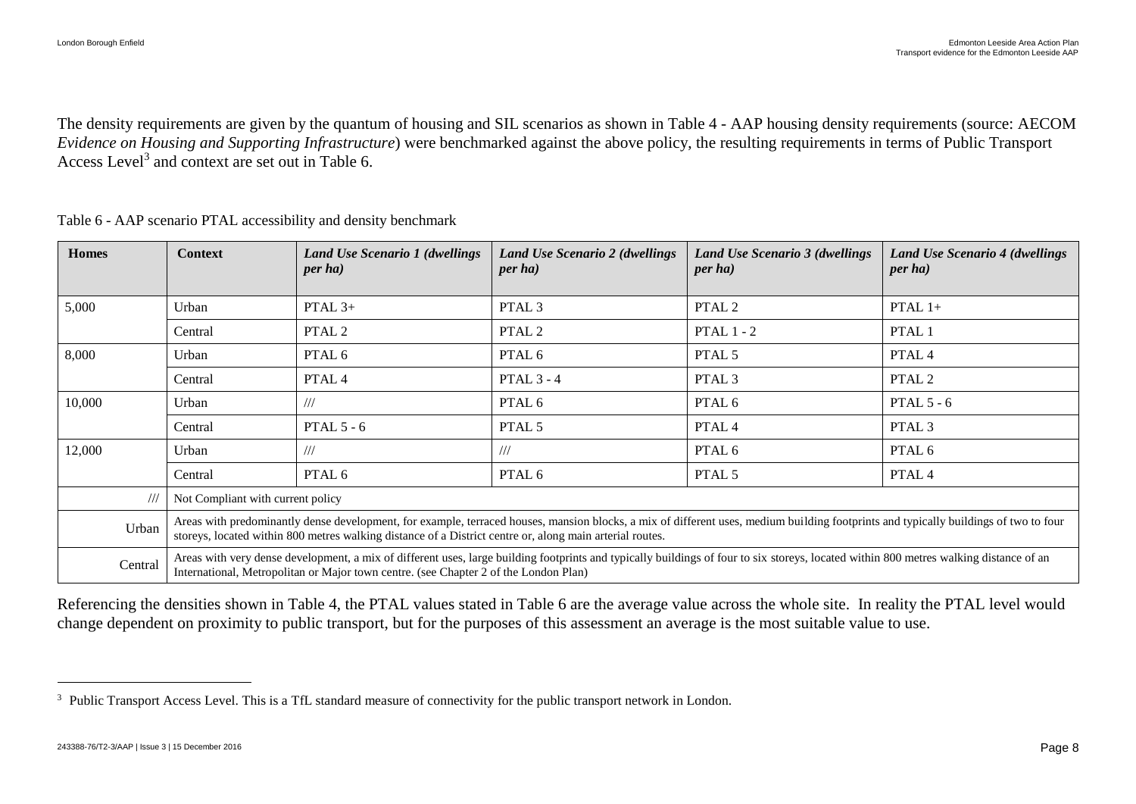The density requirements are given by the quantum of housing and SIL scenarios as shown in Table 4 - [AAP housing density requirements \(source: AECOM](#page-6-1) *[Evidence on Housing and Supporting Infrastructure](#page-6-1)*) were benchmarked against the above policy, the resulting requirements in terms of Public Transport Access Level<sup>3</sup> and context are set out in [Table 6.](#page-9-0)

| <b>Homes</b>            | <b>Context</b>                                                                                                                                                                                                                                                                                   | Land Use Scenario 1 (dwellings<br><i>per ha</i> )                                    | <b>Land Use Scenario 2 (dwellings</b><br><i>per ha</i> ) | <b>Land Use Scenario 3 (dwellings</b><br><i>per ha</i> )                                                                                                                               | <b>Land Use Scenario 4 (dwellings)</b><br>$per$ ha |  |
|-------------------------|--------------------------------------------------------------------------------------------------------------------------------------------------------------------------------------------------------------------------------------------------------------------------------------------------|--------------------------------------------------------------------------------------|----------------------------------------------------------|----------------------------------------------------------------------------------------------------------------------------------------------------------------------------------------|----------------------------------------------------|--|
| 5,000                   | Urban                                                                                                                                                                                                                                                                                            | PTAL $3+$                                                                            | PTAL <sub>3</sub>                                        | PTAL 2                                                                                                                                                                                 | PTAL $1+$                                          |  |
|                         | Central                                                                                                                                                                                                                                                                                          | PTAL 2                                                                               | PTAL 2                                                   | PTAL $1 - 2$                                                                                                                                                                           | PTAL 1                                             |  |
| 8,000                   | Urban                                                                                                                                                                                                                                                                                            | PTAL 6                                                                               | PTAL 6                                                   | PTAL 5                                                                                                                                                                                 | PTAL <sub>4</sub>                                  |  |
|                         | Central                                                                                                                                                                                                                                                                                          | PTAL <sub>4</sub>                                                                    | PTAL $3 - 4$                                             | PTAL <sub>3</sub>                                                                                                                                                                      | PTAL 2                                             |  |
| 10,000                  | Urban                                                                                                                                                                                                                                                                                            | ///                                                                                  | PTAL 6                                                   | PTAL 6                                                                                                                                                                                 | PTAL $5 - 6$                                       |  |
|                         | Central                                                                                                                                                                                                                                                                                          | PTAL $5 - 6$                                                                         | PTAL 5                                                   | PTAL <sub>4</sub>                                                                                                                                                                      | PTAL <sub>3</sub>                                  |  |
| 12,000                  | Urban                                                                                                                                                                                                                                                                                            | ///                                                                                  | ///                                                      | PTAL 6                                                                                                                                                                                 | PTAL 6                                             |  |
|                         | Central                                                                                                                                                                                                                                                                                          | PTAL 6                                                                               | PTAL 6                                                   | PTAL 5                                                                                                                                                                                 | PTAL 4                                             |  |
| $^{\prime\prime\prime}$ | Not Compliant with current policy                                                                                                                                                                                                                                                                |                                                                                      |                                                          |                                                                                                                                                                                        |                                                    |  |
| Urban                   | Areas with predominantly dense development, for example, terraced houses, mansion blocks, a mix of different uses, medium building footprints and typically buildings of two to four<br>storeys, located within 800 metres walking distance of a District centre or, along main arterial routes. |                                                                                      |                                                          |                                                                                                                                                                                        |                                                    |  |
| Central                 |                                                                                                                                                                                                                                                                                                  | International, Metropolitan or Major town centre. (see Chapter 2 of the London Plan) |                                                          | Areas with very dense development, a mix of different uses, large building footprints and typically buildings of four to six storeys, located within 800 metres walking distance of an |                                                    |  |

<span id="page-9-0"></span>Table 6 - AAP scenario PTAL accessibility and density benchmark

Referencing the densities shown in [Table 4,](#page-6-1) the PTAL values stated in [Table 6](#page-9-0) are the average value across the whole site. In reality the PTAL level would change dependent on proximity to public transport, but for the purposes of this assessment an average is the most suitable value to use.

 $\overline{a}$ 

<sup>&</sup>lt;sup>3</sup> Public Transport Access Level. This is a TfL standard measure of connectivity for the public transport network in London.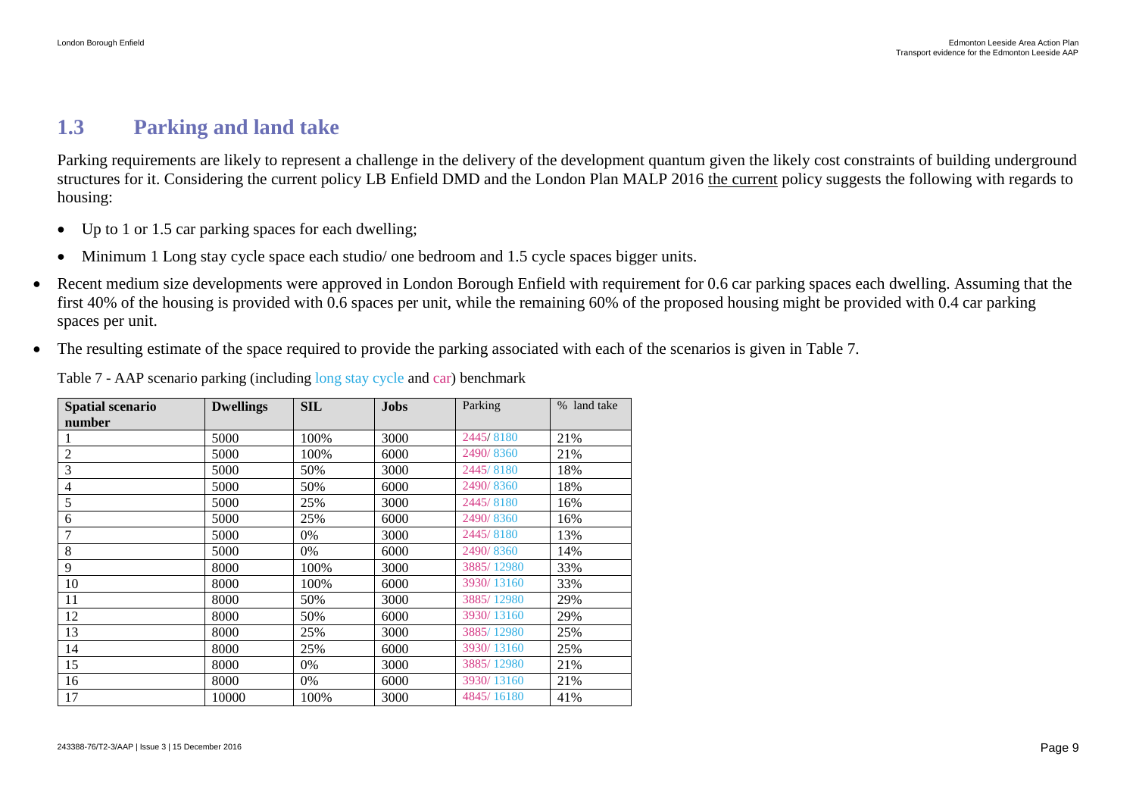## <span id="page-10-0"></span>**1.3 Parking and land take**

Parking requirements are likely to represent a challenge in the delivery of the development quantum given the likely cost constraints of building underground structures for it. Considering the current policy LB Enfield DMD and the London Plan MALP 2016 the current policy suggests the following with regards to housing:

- Up to 1 or 1.5 car parking spaces for each dwelling;
- Minimum 1 Long stay cycle space each studio/ one bedroom and 1.5 cycle spaces bigger units.
- Recent medium size developments were approved in London Borough Enfield with requirement for 0.6 car parking spaces each dwelling. Assuming that the first 40% of the housing is provided with 0.6 spaces per unit, while the remaining 60% of the proposed housing might be provided with 0.4 car parking spaces per unit.
- The resulting estimate of the space required to provide the parking associated with each of the scenarios is given in [Table 7.](#page-10-1)

| Spatial scenario | <b>Dwellings</b> | <b>SIL</b> | Jobs | Parking    | % land take |
|------------------|------------------|------------|------|------------|-------------|
| number           |                  |            |      |            |             |
|                  | 5000             | 100%       | 3000 | 2445/8180  | 21%         |
| $\overline{2}$   | 5000             | 100%       | 6000 | 2490/8360  | 21%         |
| 3                | 5000             | 50%        | 3000 | 2445/8180  | 18%         |
| 4                | 5000             | 50%        | 6000 | 2490/8360  | 18%         |
| 5                | 5000             | 25%        | 3000 | 2445/8180  | 16%         |
| 6                | 5000             | 25%        | 6000 | 2490/8360  | 16%         |
| 7                | 5000             | 0%         | 3000 | 2445/8180  | 13%         |
| 8                | 5000             | 0%         | 6000 | 2490/8360  | 14%         |
| 9                | 8000             | 100%       | 3000 | 3885/12980 | 33%         |
| 10               | 8000             | 100%       | 6000 | 3930/13160 | 33%         |
| 11               | 8000             | 50%        | 3000 | 3885/12980 | 29%         |
| 12               | 8000             | 50%        | 6000 | 3930/13160 | 29%         |
| 13               | 8000             | 25%        | 3000 | 3885/12980 | 25%         |
| 14               | 8000             | 25%        | 6000 | 3930/13160 | 25%         |
| 15               | 8000             | 0%         | 3000 | 3885/12980 | 21%         |
| 16               | 8000             | 0%         | 6000 | 3930/13160 | 21%         |
| 17               | 10000            | 100%       | 3000 | 4845/16180 | 41%         |

<span id="page-10-1"></span>Table 7 - AAP scenario parking (including long stay cycle and car) benchmark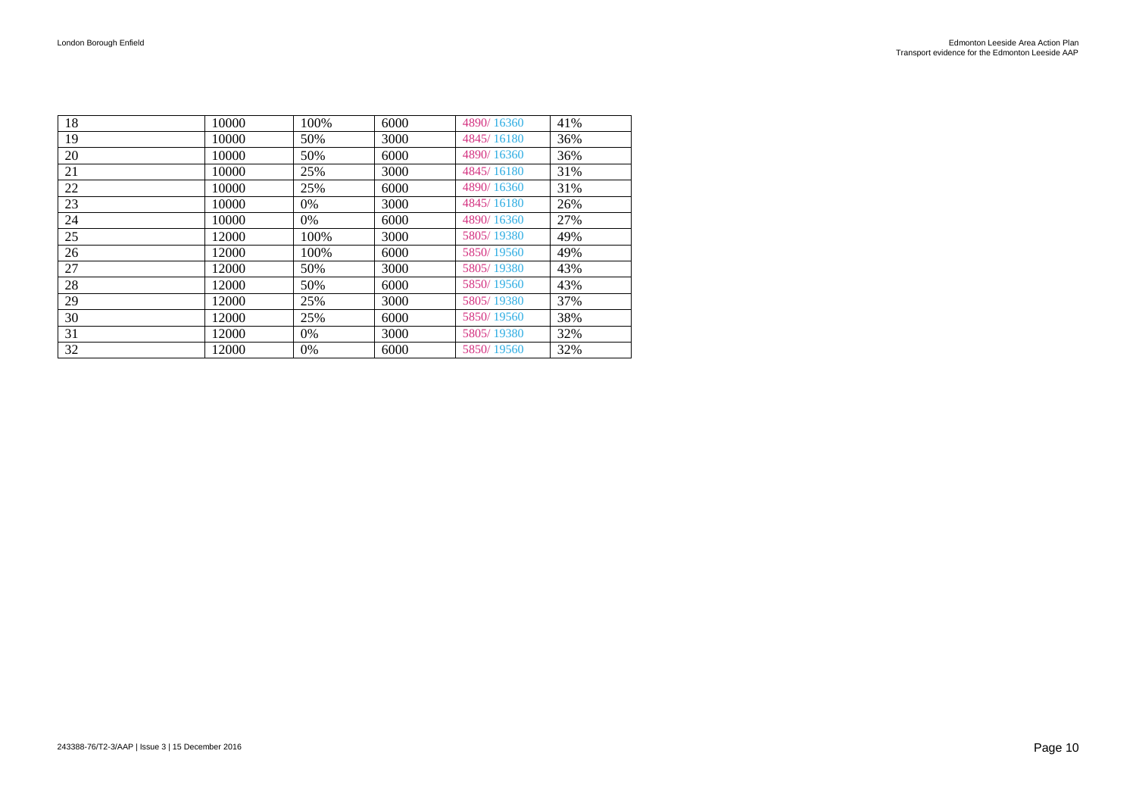| 18 | 10000 | 100%  | 6000 | 4890/16360 | 41% |
|----|-------|-------|------|------------|-----|
| 19 | 10000 | 50%   | 3000 | 4845/16180 | 36% |
| 20 | 10000 | 50%   | 6000 | 4890/16360 | 36% |
| 21 | 10000 | 25%   | 3000 | 4845/16180 | 31% |
| 22 | 10000 | 25%   | 6000 | 4890/16360 | 31% |
| 23 | 10000 | $0\%$ | 3000 | 4845/16180 | 26% |
| 24 | 10000 | 0%    | 6000 | 4890/16360 | 27% |
| 25 | 12000 | 100%  | 3000 | 5805/19380 | 49% |
| 26 | 12000 | 100%  | 6000 | 5850/19560 | 49% |
| 27 | 12000 | 50%   | 3000 | 5805/19380 | 43% |
| 28 | 12000 | 50%   | 6000 | 5850/19560 | 43% |
| 29 | 12000 | 25%   | 3000 | 5805/19380 | 37% |
| 30 | 12000 | 25%   | 6000 | 5850/19560 | 38% |
| 31 | 12000 | $0\%$ | 3000 | 5805/19380 | 32% |
| 32 | 12000 | 0%    | 6000 | 5850/19560 | 32% |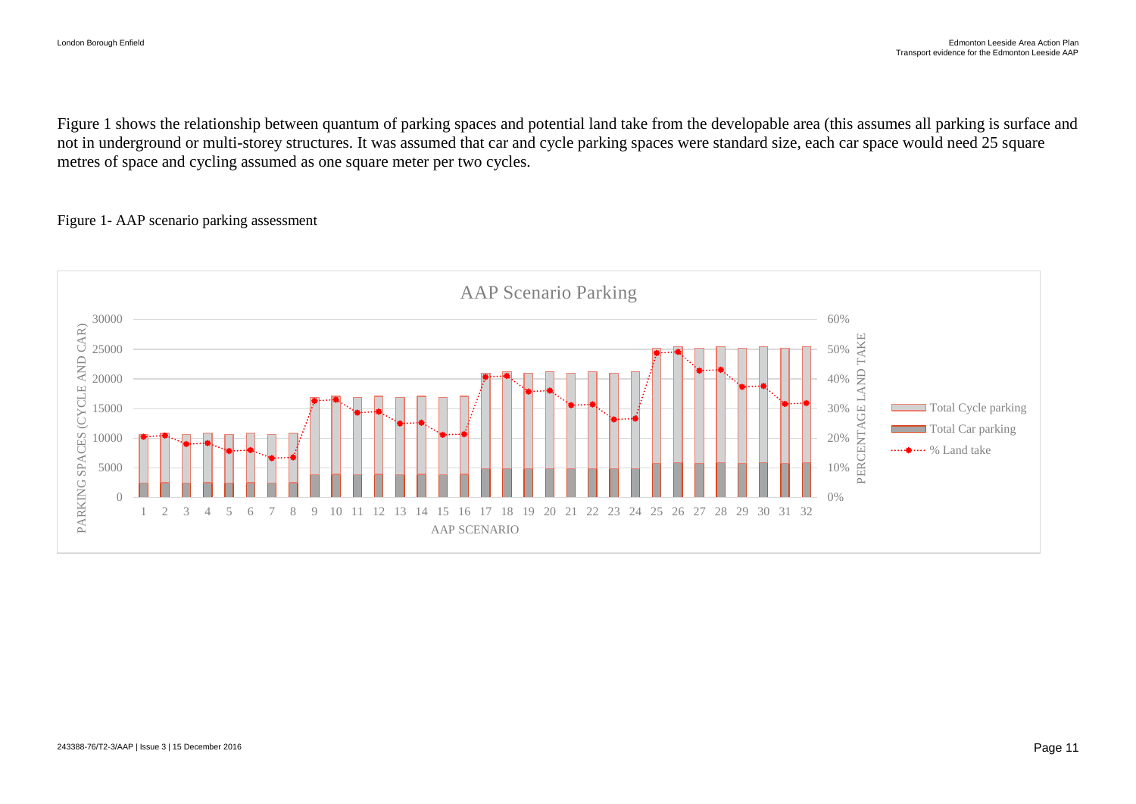[Figure 1](#page-12-0) shows the relationship between quantum of parking spaces and potential land take from the developable area (this assumes all parking is surface and not in underground or multi-storey structures. It was assumed that car and cycle parking spaces were standard size, each car space would need 25 square metres of space and cycling assumed as one square meter per two cycles.

#### <span id="page-12-0"></span>Figure 1- AAP scenario parking assessment

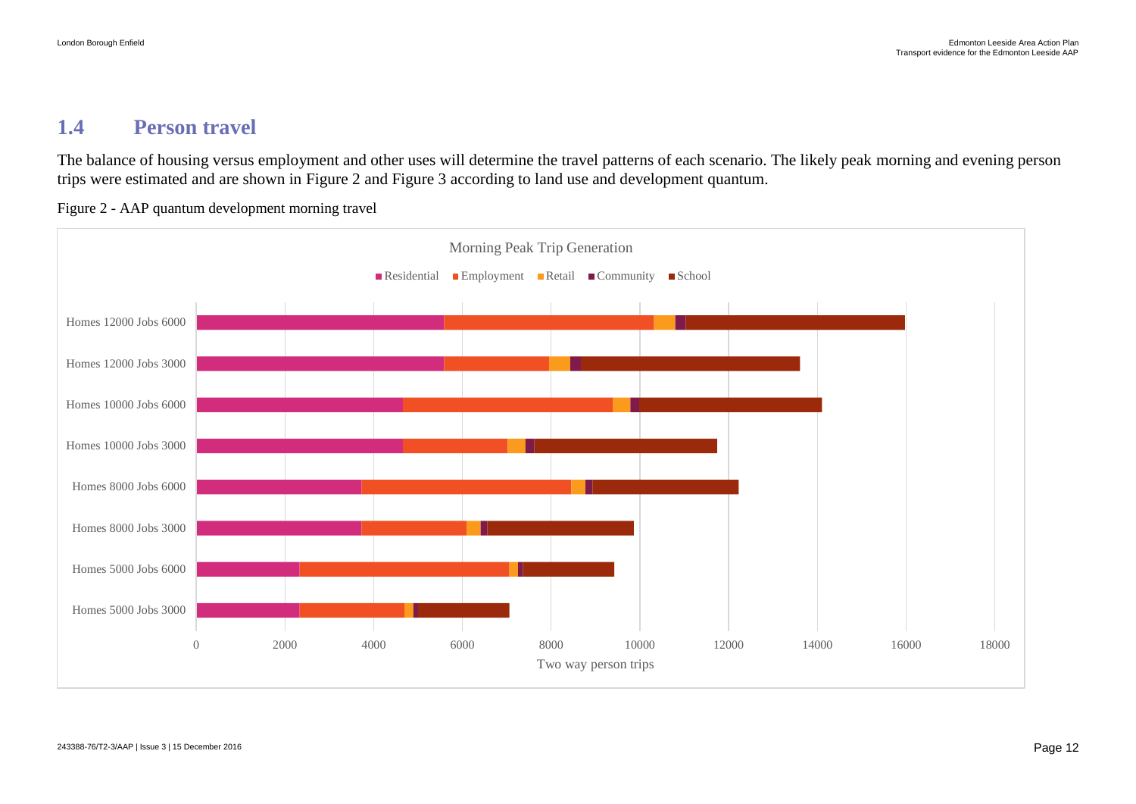#### <span id="page-13-0"></span>**1.4 Person travel**

The balance of housing versus employment and other uses will determine the travel patterns of each scenario. The likely peak morning and evening person trips were estimated and are shown in [Figure 2](#page-13-1) and [Figure 3](#page-14-0) according to land use and development quantum.

<span id="page-13-1"></span>Figure 2 - AAP quantum development morning travel

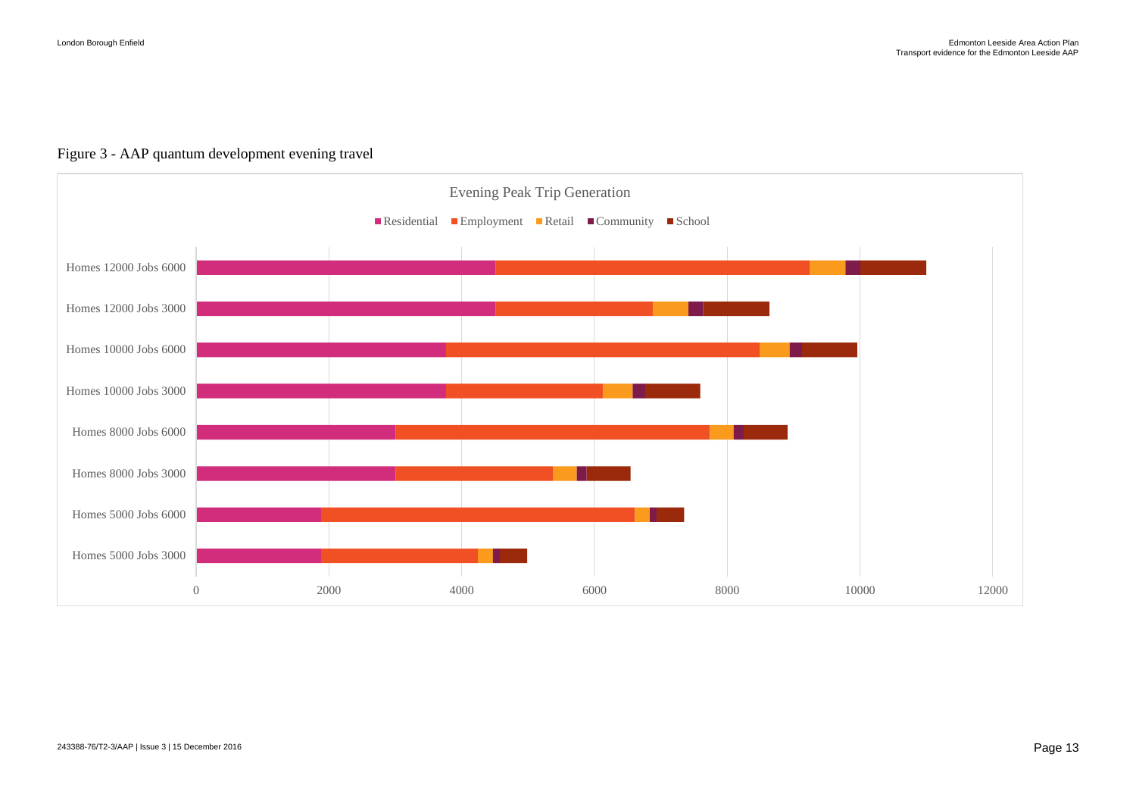

#### <span id="page-14-0"></span>Figure 3 - AAP quantum development evening travel